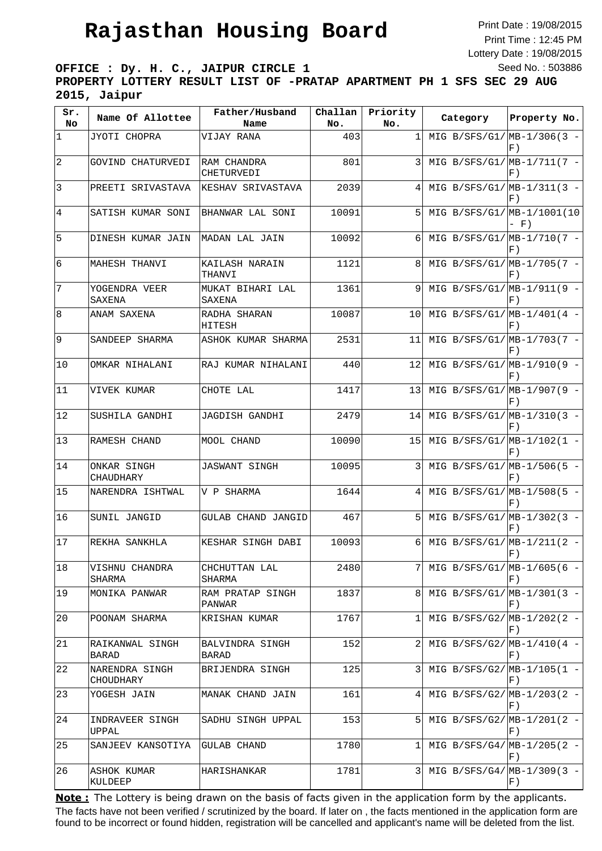## **Rajasthan Housing Board**

Print Date : 19/08/2015 Print Time : 12:45 PM Lottery Date : 19/08/2015 Seed No. : 503886

**OFFICE : Dy. H. C., JAIPUR CIRCLE 1 PROPERTY LOTTERY RESULT LIST OF -PRATAP APARTMENT PH 1 SFS SEC 29 AUG 2015, Jaipur**

| Sr.<br>No.     | Name Of Allottee                | Father/Husband<br>Name     | Challan<br>No. | Priority<br>No. | Category                     | Property No. |
|----------------|---------------------------------|----------------------------|----------------|-----------------|------------------------------|--------------|
| 1              | JYOTI CHOPRA                    | VIJAY RANA                 | 403            | $\mathbf{1}$    | MIG B/SFS/G1/ $MB-1/306(3 -$ | $F$ )        |
| $\sqrt{2}$     | GOVIND CHATURVEDI               | RAM CHANDRA<br>CHETURVEDI  | 801            | 3               | MIG B/SFS/G1/ $MB-1/711(7 -$ | $F$ )        |
| $\mathbf{3}$   | PREETI SRIVASTAVA               | KESHAV SRIVASTAVA          | 2039           | 4               | MIG B/SFS/G1/ $MB-1/311(3 -$ | F)           |
| $\overline{4}$ | SATISH KUMAR SONI               | BHANWAR LAL SONI           | 10091          | 51              | MIG B/SFS/G1/MB-1/1001(10    | $- F)$       |
| 5              | DINESH KUMAR JAIN               | MADAN LAL JAIN             | 10092          | 6               | MIG B/SFS/G1/ $MB-1/710(7 -$ | F)           |
| 6              | MAHESH THANVI                   | KAILASH NARAIN<br>THANVI   | 1121           | 8               | MIG B/SFS/G1/ $MB-1/705(7 -$ | F)           |
| $\overline{7}$ | YOGENDRA VEER<br>SAXENA         | MUKAT BIHARI LAL<br>SAXENA | 1361           | 9               | MIG B/SFS/G1/ $MB-1/911(9 -$ | $F$ )        |
| 8              | ANAM SAXENA                     | RADHA SHARAN<br>HITESH     | 10087          | 10 <sup>1</sup> | MIG B/SFS/G1/ $MB-1/401(4 -$ | F)           |
| 9              | SANDEEP SHARMA                  | ASHOK KUMAR SHARMA         | 2531           | 11              | MIG B/SFS/G1/ $MB-1/703(7 -$ | F)           |
| 10             | OMKAR NIHALANI                  | RAJ KUMAR NIHALANI         | 440            | 121             | MIG B/SFS/G1/ $MB-1/910(9 -$ | F)           |
| 11             | VIVEK KUMAR                     | CHOTE LAL                  | 1417           | 13              | MIG B/SFS/G1/ $MB-1/907(9 -$ | $F$ )        |
| 12             | SUSHILA GANDHI                  | <b>JAGDISH GANDHI</b>      | 2479           | 14I             | MIG B/SFS/G1/ $MB-1/310(3 -$ | $F$ )        |
| 13             | RAMESH CHAND                    | MOOL CHAND                 | 10090          | 15 <sub>l</sub> | MIG B/SFS/G1/ $MB-1/102(1 -$ | $F$ )        |
| 14             | ONKAR SINGH<br>CHAUDHARY        | <b>JASWANT SINGH</b>       | 10095          | 3               | MIG B/SFS/G1/ $MB-1/506(5 -$ | F)           |
| 15             | NARENDRA ISHTWAL                | V P SHARMA                 | 1644           | 4 <sup>1</sup>  | MIG B/SFS/G1/ $MB-1/508(5 -$ | F)           |
| 16             | SUNIL JANGID                    | GULAB CHAND JANGID         | 467            | 51              | MIG B/SFS/G1/ $MB-1/302(3 -$ | F)           |
| 17             | REKHA SANKHLA                   | KESHAR SINGH DABI          | 10093          | 6 <sup>1</sup>  | MIG B/SFS/G1/ $MB-1/211(2 -$ | F()          |
| $18\,$         | VISHNU CHANDRA<br>SHARMA        | CHCHUTTAN LAL<br>SHARMA    | 2480           |                 | MIG B/SFS/G1/ $MB-1/605(6 -$ | $F$ )        |
| 19             | MONIKA PANWAR                   | RAM PRATAP SINGH<br>PANWAR | 1837           | 81              | MIG B/SFS/G1/ $MB-1/301(3 -$ | F)           |
| 20             | POONAM SHARMA                   | KRISHAN KUMAR              | 1767           | 1               | MIG B/SFS/G2/ $MB-1/202(2 -$ | F)           |
| 21             | RAIKANWAL SINGH<br><b>BARAD</b> | BALVINDRA SINGH<br>BARAD   | 152            | 2 <sup>1</sup>  | MIG B/SFS/G2/ $MB-1/410(4 -$ | F)           |
| 22             | NARENDRA SINGH<br>CHOUDHARY     | BRIJENDRA SINGH            | 125            | 3               | MIG B/SFS/G2/ $MB-1/105(1 -$ | F)           |
| 23             | YOGESH JAIN                     | MANAK CHAND JAIN           | 161            | 4               | MIG B/SFS/G2/ $MB-1/203(2 -$ | F)           |
| 24             | INDRAVEER SINGH<br>UPPAL        | SADHU SINGH UPPAL          | 153            | 5               | MIG B/SFS/G2/ $MB-1/201(2 -$ | F)           |
| 25             | SANJEEV KANSOTIYA               | GULAB CHAND                | 1780           | 1               | MIG B/SFS/G4/ $MB-1/205(2 -$ | F)           |
| 26             | ASHOK KUMAR<br>KULDEEP          | HARISHANKAR                | 1781           | $\overline{3}$  | MIG B/SFS/G4/ $MB-1/309(3 -$ | F)           |

The facts have not been verified / scrutinized by the board. If later on , the facts mentioned in the application form are found to be incorrect or found hidden, registration will be cancelled and applicant's name will be deleted from the list. **Note:** The Lottery is being drawn on the basis of facts given in the application form by the applicants.